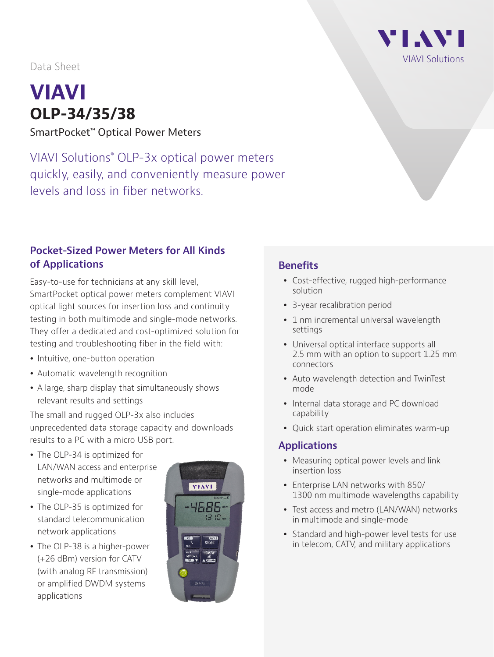Data Sheet

# **VIAVI OLP-34/35/38**

SmartPocket™ Optical Power Meters

VIAVI Solutions® OLP-3x optical power meters quickly, easily, and conveniently measure power levels and loss in fiber networks.

### **Pocket-Sized Power Meters for All Kinds of Applications**

Easy-to-use for technicians at any skill level, SmartPocket optical power meters complement VIAVI optical light sources for insertion loss and continuity testing in both multimode and single-mode networks. They offer a dedicated and cost-optimized solution for testing and troubleshooting fiber in the field with:

- Intuitive, one-button operation
- Automatic wavelength recognition
- A large, sharp display that simultaneously shows relevant results and settings

The small and rugged OLP-3x also includes unprecedented data storage capacity and downloads results to a PC with a micro USB port.

- The OLP-34 is optimized for LAN/WAN access and enterprise networks and multimode or single-mode applications
- The OLP-35 is optimized for standard telecommunication network applications
- The OLP-38 is a higher-power (+26 dBm) version for CATV (with analog RF transmission) or amplified DWDM systems applications



# **Benefits**

- Cost-effective, rugged high-performance solution
- 3-year recalibration period
- 1 nm incremental universal wavelength settings
- Universal optical interface supports all 2.5 mm with an option to support 1.25 mm connectors
- Auto wavelength detection and TwinTest mode
- Internal data storage and PC download capability
- Quick start operation eliminates warm-up

### **Applications**

- Measuring optical power levels and link insertion loss
- Enterprise LAN networks with 850/ 1300 nm multimode wavelengths capability
- Test access and metro (LAN/WAN) networks in multimode and single-mode
- Standard and high-power level tests for use in telecom, CATV, and military applications

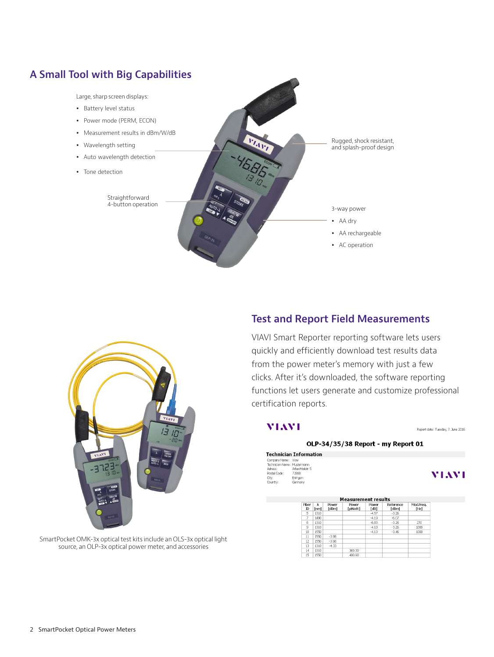### **A Small Tool with Big Capabilities**

Large, sharp screen displays:

- Battery level status
- Power mode (PERM, ECON)
- Measurement results in dBm/W/dB
- Wavelength setting
- Auto wavelength detection
- Tone detection

Straightforward 4-button operation





# **Test and Report Field Measurements**

VIAVI Smart Reporter reporting software lets users quickly and efficiently download test results data from the power meter's memory with just a few clicks. After it's downloaded, the software reporting functions let users generate and customize professional certification reports.

### **MIAMI**

#### Report date: Tuesday, 7. June 2016

VIAVI

### OLP-34/35/38 Report - my Report 01

**Technician Information** Company Nemet Charles Company Nemet Charles<br>Technician Namet Mustermann<br>Achess: Androchtalstr 5<br>Postal Code: 72800<br>Cty: Eningen Country: Germany

| <b>Measurement results</b> |      |                |                  |               |                    |                   |
|----------------------------|------|----------------|------------------|---------------|--------------------|-------------------|
| Fber<br>$\mathbb D$        | [nm] | Power<br>[dBm] | Power<br>[µWatt] | Power<br>[dB] | Reference<br>[dBm] | Mod.Freq.<br>[Hz] |
| 5                          | 1310 |                |                  | $-4.57$       | $-3.26$            |                   |
| 7                          | 1490 |                |                  | $-4.19$       | $-6.07$            |                   |
| 8                          | 1310 |                |                  | $-6.83$       | $-3.26$            | 270               |
| Q                          | 1310 |                |                  | $-4.10$       | $-3.26$            | 1000              |
| 10                         | 1550 |                |                  | $-4.13$       | $-3.46$            | 1000              |
| 11                         | 1550 | $-3.98$        |                  |               |                    |                   |
| 12                         | 1550 | $-3.98$        |                  |               |                    |                   |
| 13                         | 1310 | $-4.33$        |                  |               |                    |                   |
| 14                         | 1310 |                | 369.30           |               |                    |                   |
| 15                         | 1550 |                | 410.90           |               |                    |                   |

SmartPocket OMK-3x optical test kits include an OLS-3x optical light source, an OLP-3x optical power meter, and accessories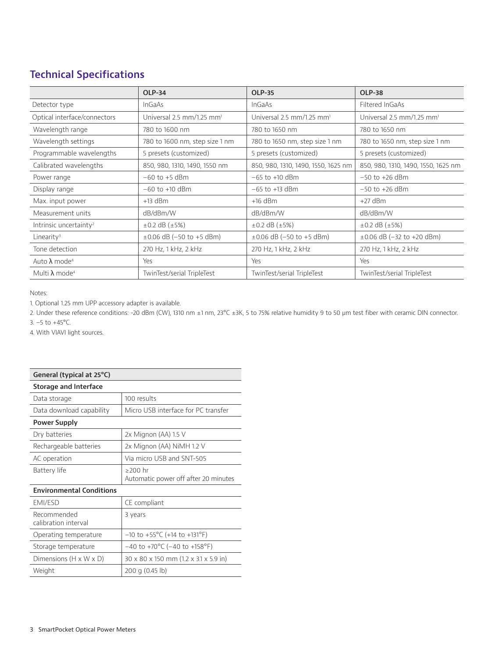## **Technical Specifications**

|                                    | <b>OLP-34</b>                         | <b>OLP-35</b>                         | <b>OLP-38</b>                           |  |
|------------------------------------|---------------------------------------|---------------------------------------|-----------------------------------------|--|
| Detector type                      | <b>InGaAs</b>                         | InGaAs                                | Filtered InGaAs                         |  |
| Optical interface/connectors       | Universal 2.5 mm/1.25 mm <sup>1</sup> | Universal 2.5 mm/1.25 mm <sup>1</sup> | Universal $2.5$ mm/1.25 mm <sup>1</sup> |  |
| Wavelength range                   | 780 to 1600 nm                        | 780 to 1650 nm                        | 780 to 1650 nm                          |  |
| Wavelength settings                | 780 to 1600 nm, step size 1 nm        | 780 to 1650 nm, step size 1 nm        | 780 to 1650 nm, step size 1 nm          |  |
| Programmable wavelengths           | 5 presets (customized)                | 5 presets (customized)                | 5 presets (customized)                  |  |
| Calibrated wavelengths             | 850, 980, 1310, 1490, 1550 nm         | 850, 980, 1310, 1490, 1550, 1625 nm   | 850, 980, 1310, 1490, 1550, 1625 nm     |  |
| Power range                        | $-60$ to $+5$ dBm                     | $-65$ to $+10$ dBm                    | $-50$ to $+26$ dBm                      |  |
| Display range                      | $-60$ to $+10$ dBm                    | $-65$ to $+13$ dBm                    | $-50$ to $+26$ dBm                      |  |
| Max. input power                   | $+13$ dBm                             | $+16$ dBm                             | $+27$ dBm                               |  |
| Measurement units                  | dB/dBm/W                              | dB/dBm/W                              | dB/dBm/W                                |  |
| Intrinsic uncertainty <sup>2</sup> | $\pm 0.2$ dB ( $\pm 5\%$ )            | $\pm 0.2$ dB ( $\pm 5\%$ )            | $\pm 0.2$ dB ( $\pm 5\%$ )              |  |
| Linearity <sup>3</sup>             | $\pm 0.06$ dB (-50 to +5 dBm)         | $\pm 0.06$ dB (-50 to +5 dBm)         | $\pm 0.06$ dB (-32 to +20 dBm)          |  |
| Tone detection                     | 270 Hz, 1 kHz, 2 kHz                  | 270 Hz, 1 kHz, 2 kHz                  | 270 Hz, 1 kHz, 2 kHz                    |  |
| Auto $\lambda$ mode <sup>4</sup>   | Yes                                   | Yes                                   | Yes                                     |  |
| Multi $\lambda$ mode <sup>4</sup>  | TwinTest/serial TripleTest            | TwinTest/serial TripleTest            | TwinTest/serial TripleTest              |  |

Notes:

1. Optional 1.25 mm UPP accessory adapter is available.

2. Under these reference conditions: -20 dBm (CW), 1310 nm ±1 nm, 23°C ±3K, 5 to 75% relative humidity 9 to 50 μm test fiber with ceramic DIN connector. 3. –5 to +45°C.

4. With VIAVI light sources.

| General (typical at 25°C)           |                                                   |  |  |  |
|-------------------------------------|---------------------------------------------------|--|--|--|
| Storage and Interface               |                                                   |  |  |  |
| Data storage                        | 100 results                                       |  |  |  |
| Data download capability            | Micro USB interface for PC transfer               |  |  |  |
| <b>Power Supply</b>                 |                                                   |  |  |  |
| Dry batteries                       | 2x Mignon (AA) 1.5 V                              |  |  |  |
| Rechargeable batteries              | 2x Mignon (AA) NiMH 1.2 V                         |  |  |  |
| AC operation                        | Via micro USB and SNT-505                         |  |  |  |
| Battery life                        | $>200$ hr<br>Automatic power off after 20 minutes |  |  |  |
| <b>Environmental Conditions</b>     |                                                   |  |  |  |
| <b>FMI/FSD</b>                      | CE compliant                                      |  |  |  |
| Recommended<br>calibration interval | 3 years                                           |  |  |  |
| Operating temperature               | $-10$ to $+55^{\circ}$ C (+14 to +131°F)          |  |  |  |
| Storage temperature                 | $-40$ to +70°C (-40 to +158°F)                    |  |  |  |
| Dimensions $(H \times W \times D)$  | 30 x 80 x 150 mm (1.2 x 3.1 x 5.9 in)             |  |  |  |
| Weight                              | 200 g (0.45 lb)                                   |  |  |  |